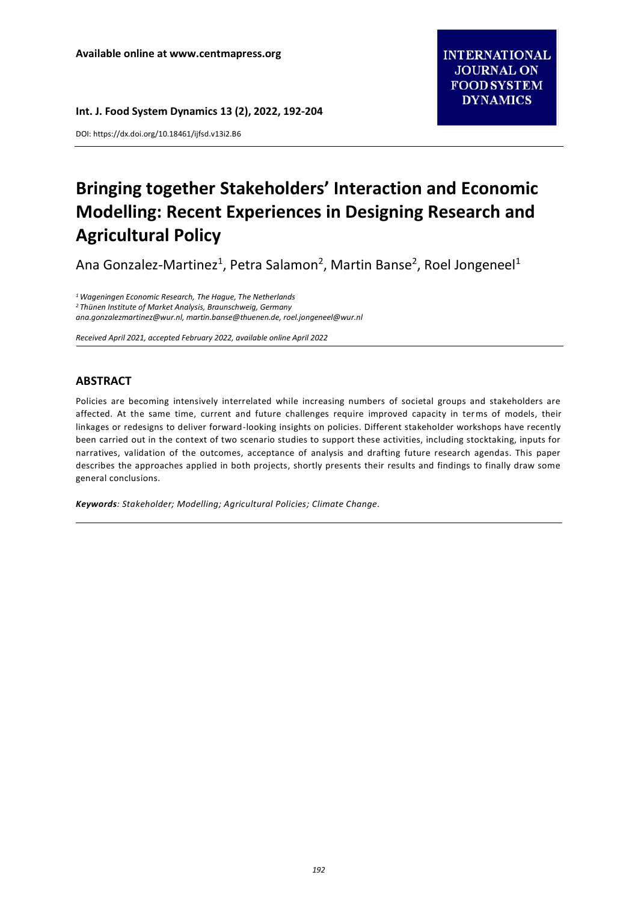DOI: https://dx.doi.org/10.18461/ijfsd.v13i2.B6

# **Bringing together Stakeholders' Interaction and Economic Modelling: Recent Experiences in Designing Research and Agricultural Policy**

Ana Gonzalez-Martinez<sup>1</sup>, Petra Salamon<sup>2</sup>, Martin Banse<sup>2</sup>, Roel Jongeneel<sup>1</sup>

*<sup>1</sup> Wageningen Economic Research, The Hague, The Netherlands <sup>2</sup> Thünen Institute of Market Analysis, Braunschweig, Germany ana.gonzalezmartinez@wur.nl, martin.banse@thuenen.de, roel.jongeneel@wur.nl*

*Received April 2021, accepted February 2022, available online April 2022*

# **ABSTRACT**

Policies are becoming intensively interrelated while increasing numbers of societal groups and stakeholders are affected. At the same time, current and future challenges require improved capacity in terms of models, their linkages or redesigns to deliver forward-looking insights on policies. Different stakeholder workshops have recently been carried out in the context of two scenario studies to support these activities, including stocktaking, inputs for narratives, validation of the outcomes, acceptance of analysis and drafting future research agendas. This paper describes the approaches applied in both projects, shortly presents their results and findings to finally draw some general conclusions.

*Keywords: Stakeholder; Modelling; Agricultural Policies; Climate Change.*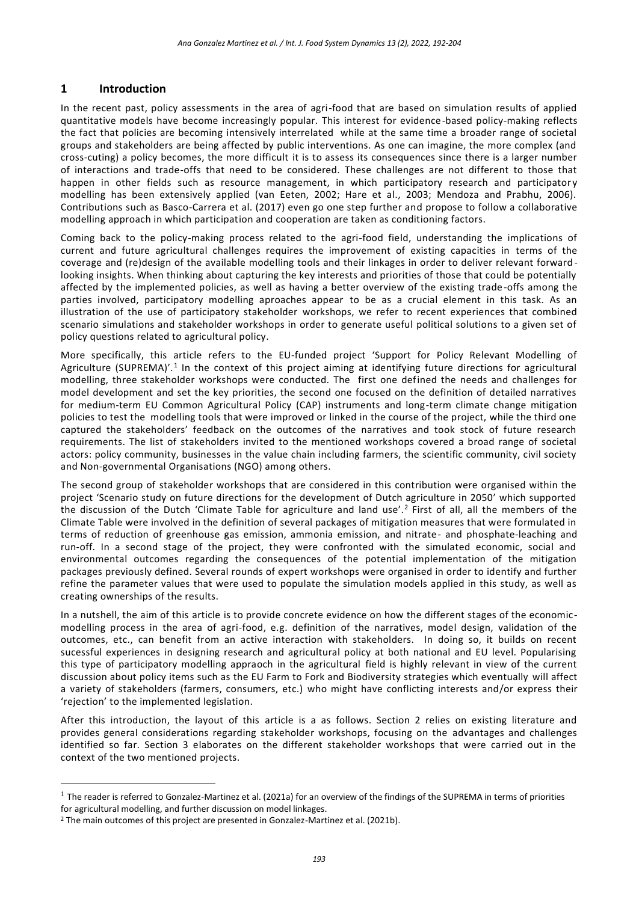# **1 Introduction**

In the recent past, policy assessments in the area of agri-food that are based on simulation results of applied quantitative models have become increasingly popular. This interest for evidence-based policy-making reflects the fact that policies are becoming intensively interrelated while at the same time a broader range of societal groups and stakeholders are being affected by public interventions. As one can imagine, the more complex (and cross-cuting) a policy becomes, the more difficult it is to assess its consequences since there is a larger number of interactions and trade-offs that need to be considered. These challenges are not different to those that happen in other fields such as resource management, in which participatory research and participatory modelling has been extensively applied (van Eeten, 2002; Hare et al., 2003; Mendoza and Prabhu, 2006). Contributions such as Basco-Carrera et al. (2017) even go one step further and propose to follow a collaborative modelling approach in which participation and cooperation are taken as conditioning factors.

Coming back to the policy-making process related to the agri-food field, understanding the implications of current and future agricultural challenges requires the improvement of existing capacities in terms of the coverage and (re)design of the available modelling tools and their linkages in order to deliver relevant forward looking insights. When thinking about capturing the key interests and priorities of those that could be potentially affected by the implemented policies, as well as having a better overview of the existing trade-offs among the parties involved, participatory modelling aproaches appear to be as a crucial element in this task. As an illustration of the use of participatory stakeholder workshops, we refer to recent experiences that combined scenario simulations and stakeholder workshops in order to generate useful political solutions to a given set of policy questions related to agricultural policy.

More specifically, this article refers to the EU-funded project 'Support for Policy Relevant Modelling of Agriculture (SUPREMA)'.<sup>1</sup> In the context of this project aiming at identifying future directions for agricultural modelling, three stakeholder workshops were conducted. The first one defined the needs and challenges for model development and set the key priorities, the second one focused on the definition of detailed narratives for medium-term EU Common Agricultural Policy (CAP) instruments and long-term climate change mitigation policies to test the modelling tools that were improved or linked in the course of the project, while the third one captured the stakeholders' feedback on the outcomes of the narratives and took stock of future research requirements. The list of stakeholders invited to the mentioned workshops covered a broad range of societal actors: policy community, businesses in the value chain including farmers, the scientific community, civil society and Non-governmental Organisations (NGO) among others.

The second group of stakeholder workshops that are considered in this contribution were organised within the project 'Scenario study on future directions for the development of Dutch agriculture in 2050' which supported the discussion of the Dutch 'Climate Table for agriculture and land use'.<sup>2</sup> First of all, all the members of the Climate Table were involved in the definition of several packages of mitigation measures that were formulated in terms of reduction of greenhouse gas emission, ammonia emission, and nitrate- and phosphate-leaching and run-off. In a second stage of the project, they were confronted with the simulated economic, social and environmental outcomes regarding the consequences of the potential implementation of the mitigation packages previously defined. Several rounds of expert workshops were organised in order to identify and further refine the parameter values that were used to populate the simulation models applied in this study, as well as creating ownerships of the results.

In a nutshell, the aim of this article is to provide concrete evidence on how the different stages of the economicmodelling process in the area of agri-food, e.g. definition of the narratives, model design, validation of the outcomes, etc., can benefit from an active interaction with stakeholders. In doing so, it builds on recent sucessful experiences in designing research and agricultural policy at both national and EU level. Popularising this type of participatory modelling appraoch in the agricultural field is highly relevant in view of the current discussion about policy items such as the EU Farm to Fork and Biodiversity strategies which eventually will affect a variety of stakeholders (farmers, consumers, etc.) who might have conflicting interests and/or express their 'rejection' to the implemented legislation.

After this introduction, the layout of this article is a as follows. Section 2 relies on existing literature and provides general considerations regarding stakeholder workshops, focusing on the advantages and challenges identified so far. Section 3 elaborates on the different stakeholder workshops that were carried out in the context of the two mentioned projects.

 $\overline{a}$ 

 $^1$  The reader is referred to Gonzalez-Martinez et al. (2021a) for an overview of the findings of the SUPREMA in terms of priorities for agricultural modelling, and further discussion on model linkages.

<sup>&</sup>lt;sup>2</sup> The main outcomes of this project are presented in Gonzalez-Martinez et al. (2021b).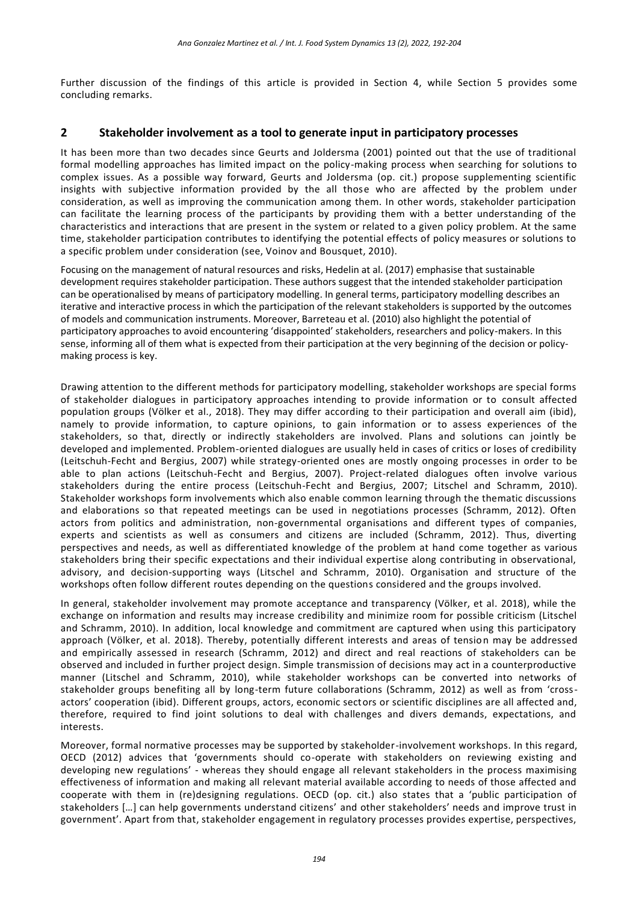Further discussion of the findings of this article is provided in Section 4, while Section 5 provides some concluding remarks.

## **2 Stakeholder involvement as a tool to generate input in participatory processes**

It has been more than two decades since Geurts and Joldersma (2001) pointed out that the use of traditional formal modelling approaches has limited impact on the policy-making process when searching for solutions to complex issues. As a possible way forward, Geurts and Joldersma (op. cit.) propose supplementing scientific insights with subjective information provided by the all those who are affected by the problem under consideration, as well as improving the communication among them. In other words, stakeholder participation can facilitate the learning process of the participants by providing them with a better understanding of the characteristics and interactions that are present in the system or related to a given policy problem. At the same time, stakeholder participation contributes to identifying the potential effects of policy measures or solutions to a specific problem under consideration (see, Voinov and Bousquet, 2010).

Focusing on the management of natural resources and risks, Hedelin at al. (2017) emphasise that sustainable development requires stakeholder participation. These authors suggest that the intended stakeholder participation can be operationalised by means of participatory modelling. In general terms, participatory modelling describes an iterative and interactive process in which the participation of the relevant stakeholders is supported by the outcomes of models and communication instruments. Moreover, Barreteau et al. (2010) also highlight the potential of participatory approaches to avoid encountering 'disappointed' stakeholders, researchers and policy-makers. In this sense, informing all of them what is expected from their participation at the very beginning of the decision or policymaking process is key.

Drawing attention to the different methods for participatory modelling, stakeholder workshops are special forms of stakeholder dialogues in participatory approaches intending to provide information or to consult affected population groups (Völker et al., 2018). They may differ according to their participation and overall aim (ibid), namely to provide information, to capture opinions, to gain information or to assess experiences of the stakeholders, so that, directly or indirectly stakeholders are involved. Plans and solutions can jointly be developed and implemented. Problem-oriented dialogues are usually held in cases of critics or loses of credibility (Leitschuh-Fecht and Bergius, 2007) while strategy-oriented ones are mostly ongoing processes in order to be able to plan actions (Leitschuh-Fecht and Bergius, 2007). Project-related dialogues often involve various stakeholders during the entire process (Leitschuh-Fecht and Bergius, 2007; Litschel and Schramm, 2010). Stakeholder workshops form involvements which also enable common learning through the thematic discussions and elaborations so that repeated meetings can be used in negotiations processes (Schramm, 2012). Often actors from politics and administration, non-governmental organisations and different types of companies, experts and scientists as well as consumers and citizens are included (Schramm, 2012). Thus, diverting perspectives and needs, as well as differentiated knowledge of the problem at hand come together as various stakeholders bring their specific expectations and their individual expertise along contributing in observational, advisory, and decision-supporting ways (Litschel and Schramm, 2010). Organisation and structure of the workshops often follow different routes depending on the questions considered and the groups involved.

In general, stakeholder involvement may promote acceptance and transparency (Völker, et al. 2018), while the exchange on information and results may increase credibility and minimize room for possible criticism (Litschel and Schramm, 2010). In addition, local knowledge and commitment are captured when using this participatory approach (Völker, et al. 2018). Thereby, potentially different interests and areas of tension may be addressed and empirically assessed in research (Schramm, 2012) and direct and real reactions of stakeholders can be observed and included in further project design. Simple transmission of decisions may act in a counterproductive manner (Litschel and Schramm, 2010), while stakeholder workshops can be converted into networks of stakeholder groups benefiting all by long-term future collaborations (Schramm, 2012) as well as from 'crossactors' cooperation (ibid). Different groups, actors, economic sectors or scientific disciplines are all affected and, therefore, required to find joint solutions to deal with challenges and divers demands, expectations, and interests.

Moreover, formal normative processes may be supported by stakeholder-involvement workshops. In this regard, OECD (2012) advices that 'governments should co-operate with stakeholders on reviewing existing and developing new regulations' - whereas they should engage all relevant stakeholders in the process maximising effectiveness of information and making all relevant material available according to needs of those affected and cooperate with them in (re)designing regulations. OECD (op. cit.) also states that a 'public participation of stakeholders […] can help governments understand citizens' and other stakeholders' needs and improve trust in government'. Apart from that, stakeholder engagement in regulatory processes provides expertise, perspectives,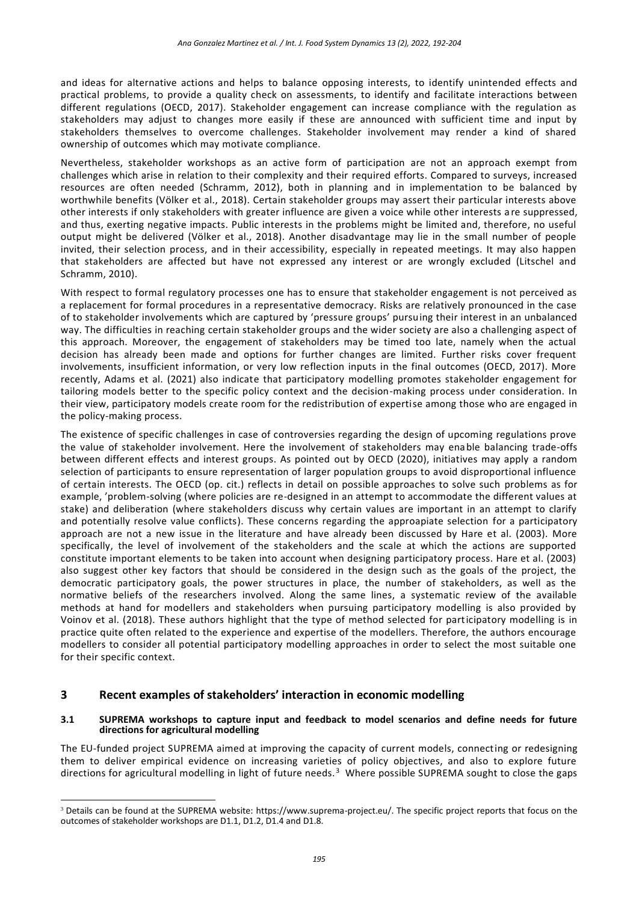and ideas for alternative actions and helps to balance opposing interests, to identify unintended effects and practical problems, to provide a quality check on assessments, to identify and facilitate interactions between different regulations (OECD, 2017). Stakeholder engagement can increase compliance with the regulation as stakeholders may adjust to changes more easily if these are announced with sufficient time and input by stakeholders themselves to overcome challenges. Stakeholder involvement may render a kind of shared ownership of outcomes which may motivate compliance.

Nevertheless, stakeholder workshops as an active form of participation are not an approach exempt from challenges which arise in relation to their complexity and their required efforts. Compared to surveys, increased resources are often needed (Schramm, 2012), both in planning and in implementation to be balanced by worthwhile benefits (Völker et al., 2018). Certain stakeholder groups may assert their particular interests above other interests if only stakeholders with greater influence are given a voice while other interests a re suppressed, and thus, exerting negative impacts. Public interests in the problems might be limited and, therefore, no useful output might be delivered (Völker et al., 2018). Another disadvantage may lie in the small number of people invited, their selection process, and in their accessibility, especially in repeated meetings. It may also happen that stakeholders are affected but have not expressed any interest or are wrongly excluded (Litschel and Schramm, 2010).

With respect to formal regulatory processes one has to ensure that stakeholder engagement is not perceived as a replacement for formal procedures in a representative democracy. Risks are relatively pronounced in the case of to stakeholder involvements which are captured by 'pressure groups' pursuing their interest in an unbalanced way. The difficulties in reaching certain stakeholder groups and the wider society are also a challenging aspect of this approach. Moreover, the engagement of stakeholders may be timed too late, namely when the actual decision has already been made and options for further changes are limited. Further risks cover frequent involvements, insufficient information, or very low reflection inputs in the final outcomes (OECD, 2017). More recently, Adams et al. (2021) also indicate that participatory modelling promotes stakeholder engagement for tailoring models better to the specific policy context and the decision-making process under consideration. In their view, participatory models create room for the redistribution of expertise among those who are engaged in the policy-making process.

The existence of specific challenges in case of controversies regarding the design of upcoming regulations prove the value of stakeholder involvement. Here the involvement of stakeholders may enable balancing trade-offs between different effects and interest groups. As pointed out by OECD (2020), initiatives may apply a random selection of participants to ensure representation of larger population groups to avoid disproportional influence of certain interests. The OECD (op. cit.) reflects in detail on possible approaches to solve such problems as for example, 'problem-solving (where policies are re-designed in an attempt to accommodate the different values at stake) and deliberation (where stakeholders discuss why certain values are important in an attempt to clarify and potentially resolve value conflicts). These concerns regarding the approapiate selection for a participatory approach are not a new issue in the literature and have already been discussed by Hare et al. (2003). More specifically, the level of involvement of the stakeholders and the scale at which the actions are supported constitute important elements to be taken into account when designing participatory process. Hare et al. (2003) also suggest other key factors that should be considered in the design such as the goals of the project, the democratic participatory goals, the power structures in place, the number of stakeholders, as well as the normative beliefs of the researchers involved. Along the same lines, a systematic review of the available methods at hand for modellers and stakeholders when pursuing participatory modelling is also provided by Voinov et al. (2018). These authors highlight that the type of method selected for participatory modelling is in practice quite often related to the experience and expertise of the modellers. Therefore, the authors encourage modellers to consider all potential participatory modelling approaches in order to select the most suitable one for their specific context.

## **3 Recent examples of stakeholders' interaction in economic modelling**

 $\overline{a}$ 

#### **3.1 SUPREMA workshops to capture input and feedback to model scenarios and define needs for future directions for agricultural modelling**

The EU-funded project SUPREMA aimed at improving the capacity of current models, connecting or redesigning them to deliver empirical evidence on increasing varieties of policy objectives, and also to explore future directions for agricultural modelling in light of future needs.<sup>3</sup> Where possible SUPREMA sought to close the gaps

<sup>3</sup> Details can be found at the SUPREMA website: [https://www.suprema-project.eu/.](https://www.suprema-project.eu/) The specific project reports that focus on the outcomes of stakeholder workshops are D1.1, D1.2, D1.4 and D1.8.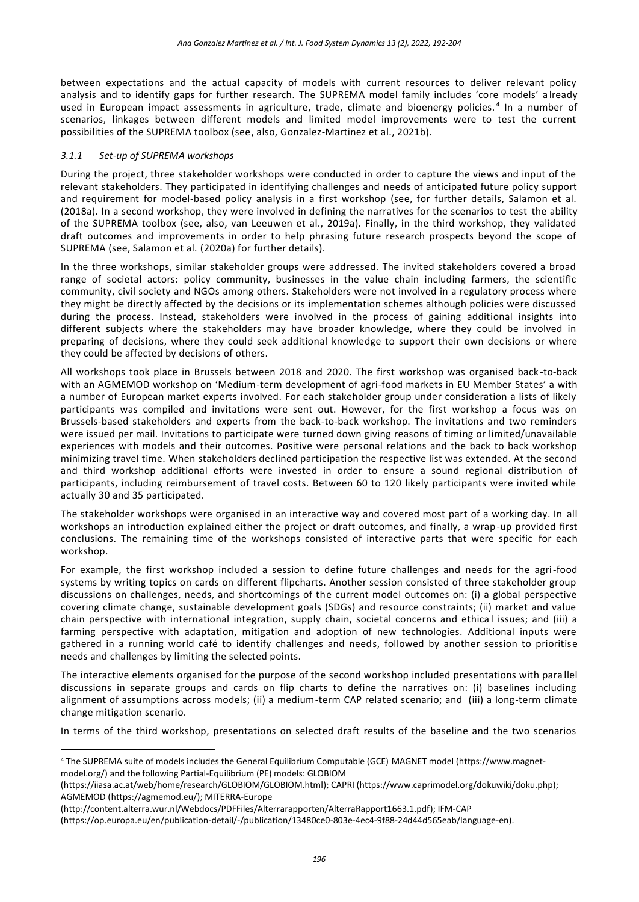between expectations and the actual capacity of models with current resources to deliver relevant policy analysis and to identify gaps for further research. The SUPREMA model family includes 'core models' a lready used in European impact assessments in agriculture, trade, climate and bioenergy policies.<sup>4</sup> In a number of scenarios, linkages between different models and limited model improvements were to test the current possibilities of the SUPREMA toolbox (see, also, Gonzalez-Martinez et al., 2021b).

## *3.1.1 Set-up of SUPREMA workshops*

 $\overline{a}$ 

During the project, three stakeholder workshops were conducted in order to capture the views and input of the relevant stakeholders. They participated in identifying challenges and needs of anticipated future policy support and requirement for model-based policy analysis in a first workshop (see, for further details, Salamon et al. (2018a). In a second workshop, they were involved in defining the narratives for the scenarios to test the ability of the SUPREMA toolbox (see, also, van Leeuwen et al., 2019a). Finally, in the third workshop, they validated draft outcomes and improvements in order to help phrasing future research prospects beyond the scope of SUPREMA (see, Salamon et al. (2020a) for further details).

In the three workshops, similar stakeholder groups were addressed. The invited stakeholders covered a broad range of societal actors: policy community, businesses in the value chain including farmers, the scientific community, civil society and NGOs among others. Stakeholders were not involved in a regulatory process where they might be directly affected by the decisions or its implementation schemes although policies were discussed during the process. Instead, stakeholders were involved in the process of gaining additional insights into different subjects where the stakeholders may have broader knowledge, where they could be involved in preparing of decisions, where they could seek additional knowledge to support their own decisions or where they could be affected by decisions of others.

All workshops took place in Brussels between 2018 and 2020. The first workshop was organised back -to-back with an AGMEMOD workshop on 'Medium-term development of agri-food markets in EU Member States' a with a number of European market experts involved. For each stakeholder group under consideration a lists of likely participants was compiled and invitations were sent out. However, for the first workshop a focus was on Brussels-based stakeholders and experts from the back-to-back workshop. The invitations and two reminders were issued per mail. Invitations to participate were turned down giving reasons of timing or limited/unavailable experiences with models and their outcomes. Positive were personal relations and the back to back workshop minimizing travel time. When stakeholders declined participation the respective list was extended. At the second and third workshop additional efforts were invested in order to ensure a sound regional distribution of participants, including reimbursement of travel costs. Between 60 to 120 likely participants were invited while actually 30 and 35 participated.

The stakeholder workshops were organised in an interactive way and covered most part of a working day. In all workshops an introduction explained either the project or draft outcomes, and finally, a wrap-up provided first conclusions. The remaining time of the workshops consisted of interactive parts that were specific for each workshop.

For example, the first workshop included a session to define future challenges and needs for the agri-food systems by writing topics on cards on different flipcharts. Another session consisted of three stakeholder group discussions on challenges, needs, and shortcomings of the current model outcomes on: (i) a global perspective covering climate change, sustainable development goals (SDGs) and resource constraints; (ii) market and value chain perspective with international integration, supply chain, societal concerns and ethical issues; and (iii) a farming perspective with adaptation, mitigation and adoption of new technologies. Additional inputs were gathered in a running world café to identify challenges and needs, followed by another session to prioritise needs and challenges by limiting the selected points.

The interactive elements organised for the purpose of the second workshop included presentations with para llel discussions in separate groups and cards on flip charts to define the narratives on: (i) baselines including alignment of assumptions across models; (ii) a medium-term CAP related scenario; and (iii) a long-term climate change mitigation scenario.

In terms of the third workshop, presentations on selected draft results of the baseline and the two scenarios

<sup>4</sup> The SUPREMA suite of models includes the General Equilibrium Computable (GCE) MAGNET model [\(https://www.magnet](https://www.magnet-model.org/)[model.org/\)](https://www.magnet-model.org/) and the following Partial-Equilibrium (PE) models: GLOBIOM

[<sup>\(</sup>https://iiasa.ac.at/web/home/research/GLOBIOM/GLOBIOM.html\)](https://iiasa.ac.at/web/home/research/GLOBIOM/GLOBIOM.html); CAPRI (https://www.caprimodel.org/dokuwiki/doku.php); AGMEMOD [\(https://agmemod.eu/\)](https://agmemod.eu/); MITERRA-Europe

[<sup>\(</sup>http://content.alterra.wur.nl/Webdocs/PDFFiles/Alterrarapporten/AlterraRapport1663.1.pdf\)](http://content.alterra.wur.nl/Webdocs/PDFFiles/Alterrarapporten/AlterraRapport1663.1.pdf); IFM-CAP

[<sup>\(</sup>https://op.europa.eu/en/publication-detail/-/publication/13480ce0-803e-4ec4-9f88-24d44d565eab/language-en\)](https://op.europa.eu/en/publication-detail/-/publication/13480ce0-803e-4ec4-9f88-24d44d565eab/language-en).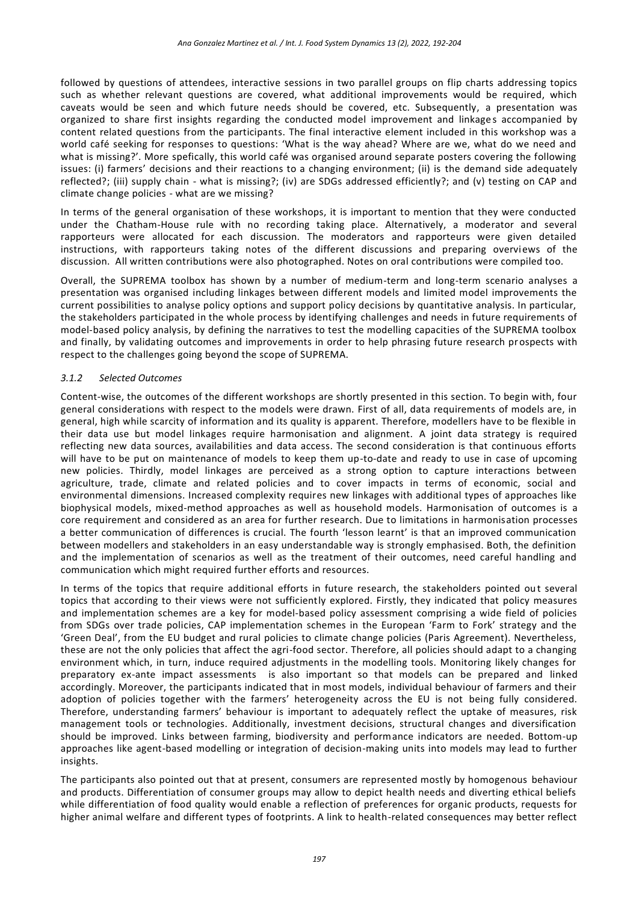followed by questions of attendees, interactive sessions in two parallel groups on flip charts addressing topics such as whether relevant questions are covered, what additional improvements would be required, which caveats would be seen and which future needs should be covered, etc. Subsequently, a presentation was organized to share first insights regarding the conducted model improvement and linkages accompanied by content related questions from the participants. The final interactive element included in this workshop was a world café seeking for responses to questions: 'What is the way ahead? Where are we, what do we need and what is missing?'. More spefically, this world café was organised around separate posters covering the following issues: (i) farmers' decisions and their reactions to a changing environment; (ii) is the demand side adequately reflected?; (iii) supply chain - what is missing?; (iv) are SDGs addressed efficiently?; and (v) testing on CAP and climate change policies - what are we missing?

In terms of the general organisation of these workshops, it is important to mention that they were conducted under the Chatham-House rule with no recording taking place. Alternatively, a moderator and several rapporteurs were allocated for each discussion. The moderators and rapporteurs were given detailed instructions, with rapporteurs taking notes of the different discussions and preparing overviews of the discussion. All written contributions were also photographed. Notes on oral contributions were compiled too.

Overall, the SUPREMA toolbox has shown by a number of medium-term and long-term scenario analyses a presentation was organised including linkages between different models and limited model improvements the current possibilities to analyse policy options and support policy decisions by quantitative analysis. In particular, the stakeholders participated in the whole process by identifying challenges and needs in future requirements of model-based policy analysis, by defining the narratives to test the modelling capacities of the SUPREMA toolbox and finally, by validating outcomes and improvements in order to help phrasing future research prospects with respect to the challenges going beyond the scope of SUPREMA.

### *3.1.2 Selected Outcomes*

Content-wise, the outcomes of the different workshops are shortly presented in this section. To begin with, four general considerations with respect to the models were drawn. First of all, data requirements of models are, in general, high while scarcity of information and its quality is apparent. Therefore, modellers have to be flexible in their data use but model linkages require harmonisation and alignment. A joint data strategy is required reflecting new data sources, availabilities and data access. The second consideration is that continuous efforts will have to be put on maintenance of models to keep them up-to-date and ready to use in case of upcoming new policies. Thirdly, model linkages are perceived as a strong option to capture interactions between agriculture, trade, climate and related policies and to cover impacts in terms of economic, social and environmental dimensions. Increased complexity requires new linkages with additional types of approaches like biophysical models, mixed-method approaches as well as household models. Harmonisation of outcomes is a core requirement and considered as an area for further research. Due to limitations in harmonisation processes a better communication of differences is crucial. The fourth 'lesson learnt' is that an improved communication between modellers and stakeholders in an easy understandable way is strongly emphasised. Both, the definition and the implementation of scenarios as well as the treatment of their outcomes, need careful handling and communication which might required further efforts and resources.

In terms of the topics that require additional efforts in future research, the stakeholders pointed out several topics that according to their views were not sufficiently explored. Firstly, they indicated that policy measures and implementation schemes are a key for model-based policy assessment comprising a wide field of policies from SDGs over trade policies, CAP implementation schemes in the European 'Farm to Fork' strategy and the 'Green Deal', from the EU budget and rural policies to climate change policies (Paris Agreement). Nevertheless, these are not the only policies that affect the agri-food sector. Therefore, all policies should adapt to a changing environment which, in turn, induce required adjustments in the modelling tools. Monitoring likely changes for preparatory ex-ante impact assessments is also important so that models can be prepared and linked accordingly. Moreover, the participants indicated that in most models, individual behaviour of farmers and their adoption of policies together with the farmers' heterogeneity across the EU is not being fully considered. Therefore, understanding farmers' behaviour is important to adequately reflect the uptake of measures, risk management tools or technologies. Additionally, investment decisions, structural changes and diversification should be improved. Links between farming, biodiversity and performance indicators are needed. Bottom-up approaches like agent-based modelling or integration of decision-making units into models may lead to further insights.

The participants also pointed out that at present, consumers are represented mostly by homogenous behaviour and products. Differentiation of consumer groups may allow to depict health needs and diverting ethical beliefs while differentiation of food quality would enable a reflection of preferences for organic products, requests for higher animal welfare and different types of footprints. A link to health-related consequences may better reflect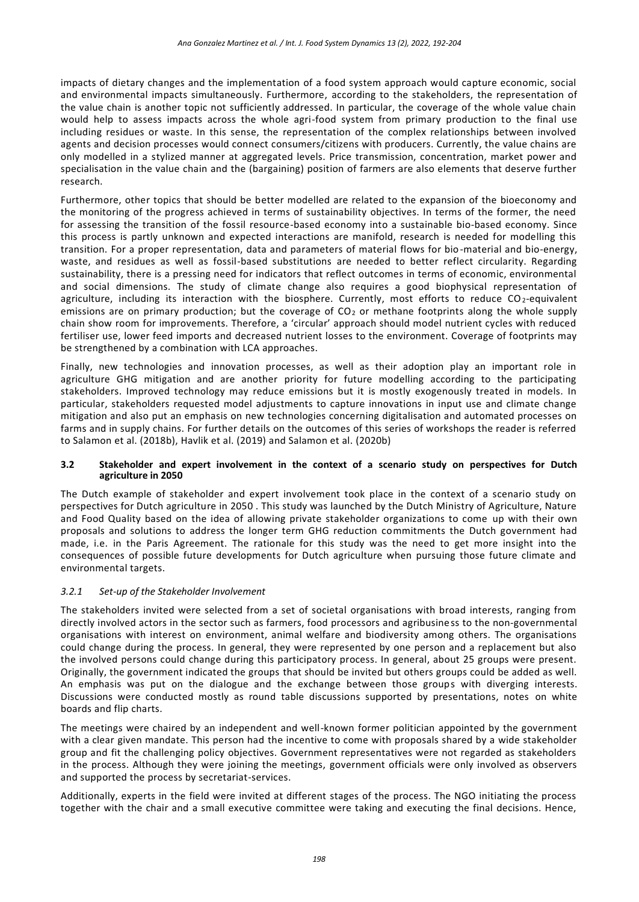impacts of dietary changes and the implementation of a food system approach would capture economic, social and environmental impacts simultaneously. Furthermore, according to the stakeholders, the representation of the value chain is another topic not sufficiently addressed. In particular, the coverage of the whole value chain would help to assess impacts across the whole agri-food system from primary production to the final use including residues or waste. In this sense, the representation of the complex relationships between involved agents and decision processes would connect consumers/citizens with producers. Currently, the value chains are only modelled in a stylized manner at aggregated levels. Price transmission, concentration, market power and specialisation in the value chain and the (bargaining) position of farmers are also elements that deserve further research.

Furthermore, other topics that should be better modelled are related to the expansion of the bioeconomy and the monitoring of the progress achieved in terms of sustainability objectives. In terms of the former, the need for assessing the transition of the fossil resource-based economy into a sustainable bio-based economy. Since this process is partly unknown and expected interactions are manifold, research is needed for modelling this transition. For a proper representation, data and parameters of material flows for bio-material and bio-energy, waste, and residues as well as fossil-based substitutions are needed to better reflect circularity. Regarding sustainability, there is a pressing need for indicators that reflect outcomes in terms of economic, environmental and social dimensions. The study of climate change also requires a good biophysical representation of agriculture, including its interaction with the biosphere. Currently, most efforts to reduce  $CO_2$ -equivalent emissions are on primary production; but the coverage of  $CO<sub>2</sub>$  or methane footprints along the whole supply chain show room for improvements. Therefore, a 'circular' approach should model nutrient cycles with reduced fertiliser use, lower feed imports and decreased nutrient losses to the environment. Coverage of footprints may be strengthened by a combination with LCA approaches.

Finally, new technologies and innovation processes, as well as their adoption play an important role in agriculture GHG mitigation and are another priority for future modelling according to the participating stakeholders. Improved technology may reduce emissions but it is mostly exogenously treated in models. In particular, stakeholders requested model adjustments to capture innovations in input use and climate change mitigation and also put an emphasis on new technologies concerning digitalisation and automated processes on farms and in supply chains. For further details on the outcomes of this series of workshops the reader is referred to Salamon et al. (2018b), Havlik et al. (2019) and Salamon et al. (2020b)

#### **3.2 Stakeholder and expert involvement in the context of a scenario study on perspectives for Dutch agriculture in 2050**

The Dutch example of stakeholder and expert involvement took place in the context of a scenario study on perspectives for Dutch agriculture in 2050 . This study was launched by the Dutch Ministry of Agriculture, Nature and Food Quality based on the idea of allowing private stakeholder organizations to come up with their own proposals and solutions to address the longer term GHG reduction commitments the Dutch government had made, i.e. in the Paris Agreement. The rationale for this study was the need to get more insight into the consequences of possible future developments for Dutch agriculture when pursuing those future climate and environmental targets.

### *3.2.1 Set-up of the Stakeholder Involvement*

The stakeholders invited were selected from a set of societal organisations with broad interests, ranging from directly involved actors in the sector such as farmers, food processors and agribusiness to the non-governmental organisations with interest on environment, animal welfare and biodiversity among others. The organisations could change during the process. In general, they were represented by one person and a replacement but also the involved persons could change during this participatory process. In general, about 25 groups were present. Originally, the government indicated the groups that should be invited but others groups could be added as well. An emphasis was put on the dialogue and the exchange between those groups with diverging interests. Discussions were conducted mostly as round table discussions supported by presentations, notes on white boards and flip charts.

The meetings were chaired by an independent and well-known former politician appointed by the government with a clear given mandate. This person had the incentive to come with proposals shared by a wide stakeholder group and fit the challenging policy objectives. Government representatives were not regarded as stakeholders in the process. Although they were joining the meetings, government officials were only involved as observers and supported the process by secretariat-services.

Additionally, experts in the field were invited at different stages of the process. The NGO initiating the process together with the chair and a small executive committee were taking and executing the final decisions. Hence,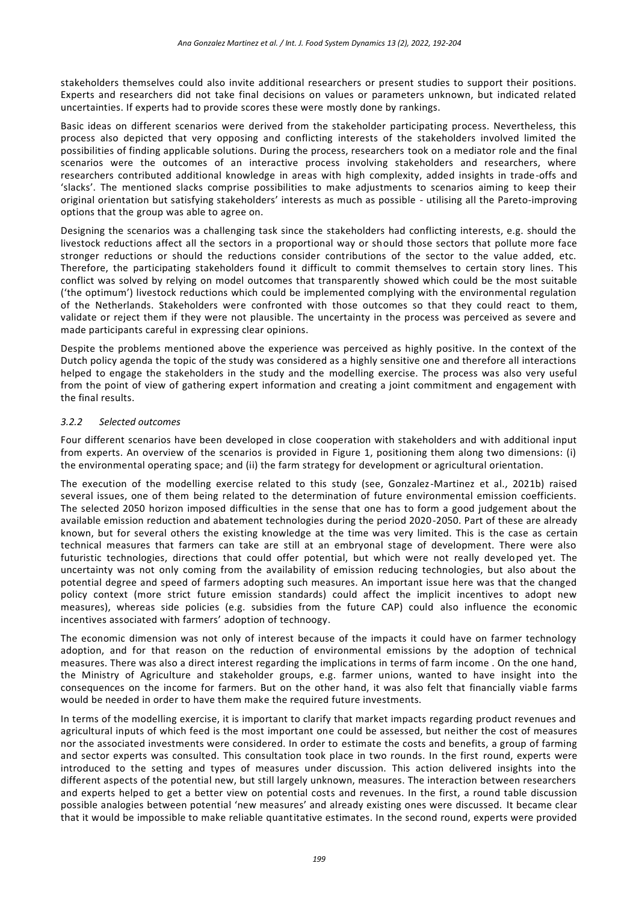stakeholders themselves could also invite additional researchers or present studies to support their positions. Experts and researchers did not take final decisions on values or parameters unknown, but indicated related uncertainties. If experts had to provide scores these were mostly done by rankings.

Basic ideas on different scenarios were derived from the stakeholder participating process. Nevertheless, this process also depicted that very opposing and conflicting interests of the stakeholders involved limited the possibilities of finding applicable solutions. During the process, researchers took on a mediator role and the final scenarios were the outcomes of an interactive process involving stakeholders and researchers, where researchers contributed additional knowledge in areas with high complexity, added insights in trade-offs and 'slacks'. The mentioned slacks comprise possibilities to make adjustments to scenarios aiming to keep their original orientation but satisfying stakeholders' interests as much as possible - utilising all the Pareto-improving options that the group was able to agree on.

Designing the scenarios was a challenging task since the stakeholders had conflicting interests, e.g. should the livestock reductions affect all the sectors in a proportional way or should those sectors that pollute more face stronger reductions or should the reductions consider contributions of the sector to the value added, etc. Therefore, the participating stakeholders found it difficult to commit themselves to certain story lines. This conflict was solved by relying on model outcomes that transparently showed which could be the most suitable ('the optimum') livestock reductions which could be implemented complying with the environmental regulation of the Netherlands. Stakeholders were confronted with those outcomes so that they could react to them, validate or reject them if they were not plausible. The uncertainty in the process was perceived as severe and made participants careful in expressing clear opinions.

Despite the problems mentioned above the experience was perceived as highly positive. In the context of the Dutch policy agenda the topic of the study was considered as a highly sensitive one and therefore all interactions helped to engage the stakeholders in the study and the modelling exercise. The process was also very useful from the point of view of gathering expert information and creating a joint commitment and engagement with the final results.

### *3.2.2 Selected outcomes*

Four different scenarios have been developed in close cooperation with stakeholders and with additional input from experts. An overview of the scenarios is provided in Figure 1, positioning them along two dimensions: (i) the environmental operating space; and (ii) the farm strategy for development or agricultural orientation.

The execution of the modelling exercise related to this study (see, Gonzalez-Martinez et al., 2021b) raised several issues, one of them being related to the determination of future environmental emission coefficients. The selected 2050 horizon imposed difficulties in the sense that one has to form a good judgement about the available emission reduction and abatement technologies during the period 2020-2050. Part of these are already known, but for several others the existing knowledge at the time was very limited. This is the case as certain technical measures that farmers can take are still at an embryonal stage of development. There were also futuristic technologies, directions that could offer potential, but which were not really developed yet. The uncertainty was not only coming from the availability of emission reducing technologies, but also about the potential degree and speed of farmers adopting such measures. An important issue here was that the changed policy context (more strict future emission standards) could affect the implicit incentives to adopt new measures), whereas side policies (e.g. subsidies from the future CAP) could also influence the economic incentives associated with farmers' adoption of technoogy.

The economic dimension was not only of interest because of the impacts it could have on farmer technology adoption, and for that reason on the reduction of environmental emissions by the adoption of technical measures. There was also a direct interest regarding the implications in terms of farm income . On the one hand, the Ministry of Agriculture and stakeholder groups, e.g. farmer unions, wanted to have insight into the consequences on the income for farmers. But on the other hand, it was also felt that financially viable farms would be needed in order to have them make the required future investments.

In terms of the modelling exercise, it is important to clarify that market impacts regarding product revenues and agricultural inputs of which feed is the most important one could be assessed, but neither the cost of measures nor the associated investments were considered. In order to estimate the costs and benefits, a group of farming and sector experts was consulted. This consultation took place in two rounds. In the first round, experts were introduced to the setting and types of measures under discussion. This action delivered insights into the different aspects of the potential new, but still largely unknown, measures. The interaction between researchers and experts helped to get a better view on potential costs and revenues. In the first, a round table discussion possible analogies between potential 'new measures' and already existing ones were discussed. It became clear that it would be impossible to make reliable quantitative estimates. In the second round, experts were provided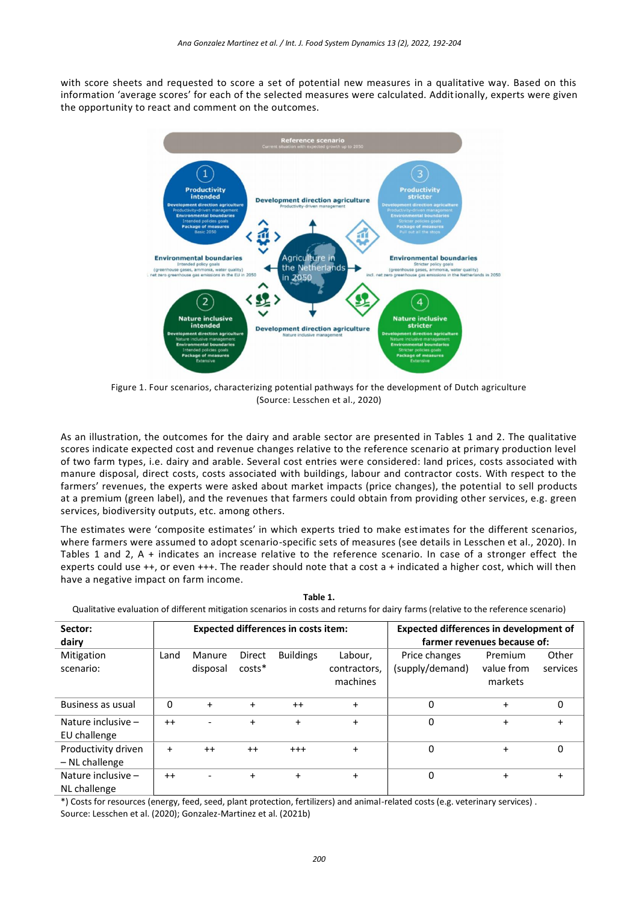with score sheets and requested to score a set of potential new measures in a qualitative way. Based on this information 'average scores' for each of the selected measures were calculated. Additionally, experts were given the opportunity to react and comment on the outcomes.



Figure 1. Four scenarios, characterizing potential pathways for the development of Dutch agriculture (Source: Lesschen et al., 2020)

As an illustration, the outcomes for the dairy and arable sector are presented in Tables 1 and 2. The qualitative scores indicate expected cost and revenue changes relative to the reference scenario at primary production level of two farm types, i.e. dairy and arable. Several cost entries were considered: land prices, costs associated with manure disposal, direct costs, costs associated with buildings, labour and contractor costs. With respect to the farmers' revenues, the experts were asked about market impacts (price changes), the potential to sell products at a premium (green label), and the revenues that farmers could obtain from providing other services, e.g. green services, biodiversity outputs, etc. among others.

The estimates were 'composite estimates' in which experts tried to make estimates for the different scenarios, where farmers were assumed to adopt scenario-specific sets of measures (see details in Lesschen et al., 2020). In Tables 1 and 2, A + indicates an increase relative to the reference scenario. In case of a stronger effect the experts could use ++, or even +++. The reader should note that a cost a + indicated a higher cost, which will then have a negative impact on farm income.

| Qualitative evaluation of different mitigation scenarios in costs and returns for dairy farms (relative to the reference scenario) |                             |           |           |                                            |                                               |                 |            |           |  |  |  |  |
|------------------------------------------------------------------------------------------------------------------------------------|-----------------------------|-----------|-----------|--------------------------------------------|-----------------------------------------------|-----------------|------------|-----------|--|--|--|--|
| Sector:                                                                                                                            |                             |           |           | <b>Expected differences in costs item:</b> | <b>Expected differences in development of</b> |                 |            |           |  |  |  |  |
| dairy                                                                                                                              | farmer revenues because of: |           |           |                                            |                                               |                 |            |           |  |  |  |  |
| Mitigation                                                                                                                         | Land                        | Manure    | Direct    | <b>Buildings</b>                           | Labour,                                       | Price changes   | Premium    | Other     |  |  |  |  |
| scenario:                                                                                                                          |                             | disposal  | $costs*$  |                                            | contractors,                                  | (supply/demand) | value from | services  |  |  |  |  |
|                                                                                                                                    |                             |           |           |                                            | machines                                      |                 | markets    |           |  |  |  |  |
|                                                                                                                                    |                             |           |           |                                            |                                               |                 |            |           |  |  |  |  |
| Business as usual                                                                                                                  | 0                           | $\ddot{}$ | $\ddot{}$ | $++$                                       | $\ddot{}$                                     | 0               | $\ddot{}$  | 0         |  |  |  |  |
| Nature inclusive -                                                                                                                 | $^{++}$                     |           | $\ddot{}$ | $\ddot{}$                                  | $\ddot{}$                                     | 0               | $\ddot{}$  | $\ddot{}$ |  |  |  |  |
| EU challenge                                                                                                                       |                             |           |           |                                            |                                               |                 |            |           |  |  |  |  |
| Productivity driven                                                                                                                | $\ddot{}$                   | $++$      | $++$      | $^{+++}$                                   | $+$                                           | $\Omega$        | $\ddot{}$  | 0         |  |  |  |  |
| - NL challenge                                                                                                                     |                             |           |           |                                            |                                               |                 |            |           |  |  |  |  |
| Nature inclusive -                                                                                                                 | $^{++}$                     |           | $\ddot{}$ | $\ddot{}$                                  | $\ddot{}$                                     | 0               | $\ddot{}$  | $\ddot{}$ |  |  |  |  |
| NL challenge                                                                                                                       |                             |           |           |                                            |                                               |                 |            |           |  |  |  |  |

**Table 1.** Qualitative evaluation of different mitigation scenarios in costs and returns for dairy farms (relative to the reference scenario)

\*) Costs for resources (energy, feed, seed, plant protection, fertilizers) and animal-related costs (e.g. veterinary services) . Source: Lesschen et al. (2020); Gonzalez-Martinez et al. (2021b)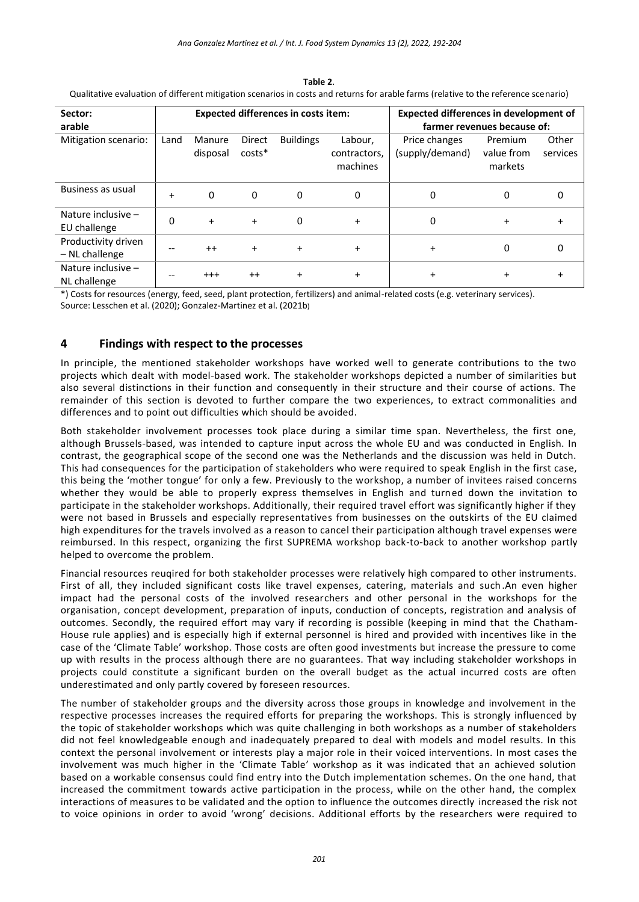| Sector:<br>arable                     |           |                    |                    | <b>Expected differences in costs item:</b> | <b>Expected differences in development of</b><br>farmer revenues because of: |                                  |                                  |                   |
|---------------------------------------|-----------|--------------------|--------------------|--------------------------------------------|------------------------------------------------------------------------------|----------------------------------|----------------------------------|-------------------|
| Mitigation scenario:                  | Land      | Manure<br>disposal | Direct<br>$costs*$ | <b>Buildings</b>                           | Labour,<br>contractors,<br>machines                                          | Price changes<br>(supply/demand) | Premium<br>value from<br>markets | Other<br>services |
| Business as usual                     | $\ddot{}$ | $\mathbf{0}$       | $\Omega$           | 0                                          | 0                                                                            | 0                                | 0                                | 0                 |
| Nature inclusive -<br>EU challenge    | 0         | $+$                | $\ddot{}$          | 0                                          | $\ddot{}$                                                                    | 0                                | $\ddot{}$                        | $\ddot{}$         |
| Productivity driven<br>- NL challenge |           | $^{++}$            | $\ddot{}$          | $\ddot{}$                                  | $+$                                                                          | $\ddot{}$                        | 0                                | $\Omega$          |
| Nature inclusive $-$<br>NL challenge  |           | $^{+++}$           | $++$               | $\ddot{}$                                  | $\ddot{}$                                                                    | $\ddot{}$                        | $\ddot{}$                        | +                 |

**Table 2**. Qualitative evaluation of different mitigation scenarios in costs and returns for arable farms (relative to the reference scenario)

\*) Costs for resources (energy, feed, seed, plant protection, fertilizers) and animal-related costs (e.g. veterinary services). Source: Lesschen et al. (2020); Gonzalez-Martinez et al. (2021b)

# **4 Findings with respect to the processes**

In principle, the mentioned stakeholder workshops have worked well to generate contributions to the two projects which dealt with model-based work. The stakeholder workshops depicted a number of similarities but also several distinctions in their function and consequently in their structure and their course of actions. The remainder of this section is devoted to further compare the two experiences, to extract commonalities and differences and to point out difficulties which should be avoided.

Both stakeholder involvement processes took place during a similar time span. Nevertheless, the first one, although Brussels-based, was intended to capture input across the whole EU and was conducted in English. In contrast, the geographical scope of the second one was the Netherlands and the discussion was held in Dutch. This had consequences for the participation of stakeholders who were required to speak English in the first case, this being the 'mother tongue' for only a few. Previously to the workshop, a number of invitees raised concerns whether they would be able to properly express themselves in English and turned down the invitation to participate in the stakeholder workshops. Additionally, their required travel effort was significantly higher if they were not based in Brussels and especially representatives from businesses on the outskirts of the EU claimed high expenditures for the travels involved as a reason to cancel their participation although travel expenses were reimbursed. In this respect, organizing the first SUPREMA workshop back-to-back to another workshop partly helped to overcome the problem.

Financial resources reuqired for both stakeholder processes were relatively high compared to other instruments. First of all, they included significant costs like travel expenses, catering, materials and such.An even higher impact had the personal costs of the involved researchers and other personal in the workshops for the organisation, concept development, preparation of inputs, conduction of concepts, registration and analysis of outcomes. Secondly, the required effort may vary if recording is possible (keeping in mind that the Chatham-House rule applies) and is especially high if external personnel is hired and provided with incentives like in the case of the 'Climate Table' workshop. Those costs are often good investments but increase the pressure to come up with results in the process although there are no guarantees. That way including stakeholder workshops in projects could constitute a significant burden on the overall budget as the actual incurred costs are often underestimated and only partly covered by foreseen resources.

The number of stakeholder groups and the diversity across those groups in knowledge and involvement in the respective processes increases the required efforts for preparing the workshops. This is strongly influenced by the topic of stakeholder workshops which was quite challenging in both workshops as a number of stakeholders did not feel knowledgeable enough and inadequately prepared to deal with models and model results. In this context the personal involvement or interests play a major role in their voiced interventions. In most cases the involvement was much higher in the 'Climate Table' workshop as it was indicated that an achieved solution based on a workable consensus could find entry into the Dutch implementation schemes. On the one hand, that increased the commitment towards active participation in the process, while on the other hand, the complex interactions of measures to be validated and the option to influence the outcomes directly increased the risk not to voice opinions in order to avoid 'wrong' decisions. Additional efforts by the researchers were required to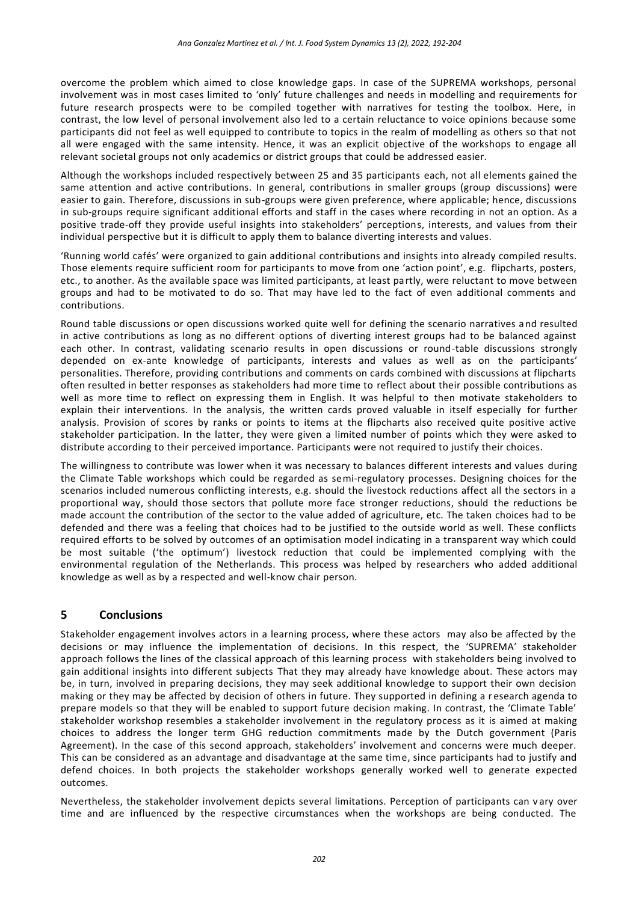overcome the problem which aimed to close knowledge gaps. In case of the SUPREMA workshops, personal involvement was in most cases limited to 'only' future challenges and needs in modelling and requirements for future research prospects were to be compiled together with narratives for testing the toolbox. Here, in contrast, the low level of personal involvement also led to a certain reluctance to voice opinions because some participants did not feel as well equipped to contribute to topics in the realm of modelling as others so that not all were engaged with the same intensity. Hence, it was an explicit objective of the workshops to engage all relevant societal groups not only academics or district groups that could be addressed easier.

Although the workshops included respectively between 25 and 35 participants each, not all elements gained the same attention and active contributions. In general, contributions in smaller groups (group discussions) were easier to gain. Therefore, discussions in sub-groups were given preference, where applicable; hence, discussions in sub-groups require significant additional efforts and staff in the cases where recording in not an option. As a positive trade-off they provide useful insights into stakeholders' perceptions, interests, and values from their individual perspective but it is difficult to apply them to balance diverting interests and values.

'Running world cafés' were organized to gain additional contributions and insights into already compiled results. Those elements require sufficient room for participants to move from one 'action point', e.g. flipcharts, posters, etc., to another. As the available space was limited participants, at least partly, were reluctant to move between groups and had to be motivated to do so. That may have led to the fact of even additional comments and contributions.

Round table discussions or open discussions worked quite well for defining the scenario narratives a nd resulted in active contributions as long as no different options of diverting interest groups had to be balanced against each other. In contrast, validating scenario results in open discussions or round-table discussions strongly depended on ex-ante knowledge of participants, interests and values as well as on the participants' personalities. Therefore, providing contributions and comments on cards combined with discussions at flipcharts often resulted in better responses as stakeholders had more time to reflect about their possible contributions as well as more time to reflect on expressing them in English. It was helpful to then motivate stakeholders to explain their interventions. In the analysis, the written cards proved valuable in itself especially for further analysis. Provision of scores by ranks or points to items at the flipcharts also received quite positive active stakeholder participation. In the latter, they were given a limited number of points which they were asked to distribute according to their perceived importance. Participants were not required to justify their choices.

The willingness to contribute was lower when it was necessary to balances different interests and values during the Climate Table workshops which could be regarded as semi-regulatory processes. Designing choices for the scenarios included numerous conflicting interests, e.g. should the livestock reductions affect all the sectors in a proportional way, should those sectors that pollute more face stronger reductions, should the reductions be made account the contribution of the sector to the value added of agriculture, etc. The taken choices had to be defended and there was a feeling that choices had to be justified to the outside world as well. These conflicts required efforts to be solved by outcomes of an optimisation model indicating in a transparent way which could be most suitable ('the optimum') livestock reduction that could be implemented complying with the environmental regulation of the Netherlands. This process was helped by researchers who added additional knowledge as well as by a respected and well-know chair person.

## **5 Conclusions**

Stakeholder engagement involves actors in a learning process, where these actors may also be affected by the decisions or may influence the implementation of decisions. In this respect, the 'SUPREMA' stakeholder approach follows the lines of the classical approach of this learning process with stakeholders being involved to gain additional insights into different subjects That they may already have knowledge about. These actors may be, in turn, involved in preparing decisions, they may seek additional knowledge to support their own decision making or they may be affected by decision of others in future. They supported in defining a r esearch agenda to prepare models so that they will be enabled to support future decision making. In contrast, the 'Climate Table' stakeholder workshop resembles a stakeholder involvement in the regulatory process as it is aimed at making choices to address the longer term GHG reduction commitments made by the Dutch government (Paris Agreement). In the case of this second approach, stakeholders' involvement and concerns were much deeper. This can be considered as an advantage and disadvantage at the same time, since participants had to justify and defend choices. In both projects the stakeholder workshops generally worked well to generate expected outcomes.

Nevertheless, the stakeholder involvement depicts several limitations. Perception of participants can v ary over time and are influenced by the respective circumstances when the workshops are being conducted. The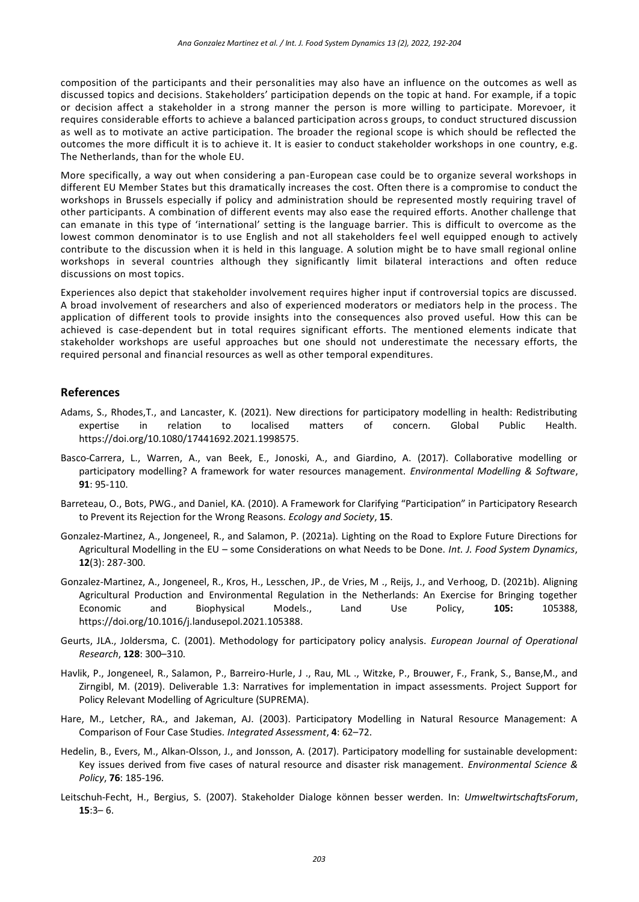composition of the participants and their personalities may also have an influence on the outcomes as well as discussed topics and decisions. Stakeholders' participation depends on the topic at hand. For example, if a topic or decision affect a stakeholder in a strong manner the person is more willing to participate. Morevoer, it requires considerable efforts to achieve a balanced participation across groups, to conduct structured discussion as well as to motivate an active participation. The broader the regional scope is which should be reflected the outcomes the more difficult it is to achieve it. It is easier to conduct stakeholder workshops in one country, e.g. The Netherlands, than for the whole EU.

More specifically, a way out when considering a pan-European case could be to organize several workshops in different EU Member States but this dramatically increases the cost. Often there is a compromise to conduct the workshops in Brussels especially if policy and administration should be represented mostly requiring travel of other participants. A combination of different events may also ease the required efforts. Another challenge that can emanate in this type of 'international' setting is the language barrier. This is difficult to overcome as the lowest common denominator is to use English and not all stakeholders feel well equipped enough to actively contribute to the discussion when it is held in this language. A solution might be to have small regional online workshops in several countries although they significantly limit bilateral interactions and often reduce discussions on most topics.

Experiences also depict that stakeholder involvement requires higher input if controversial topics are discussed. A broad involvement of researchers and also of experienced moderators or mediators help in the process. The application of different tools to provide insights into the consequences also proved useful. How this can be achieved is case-dependent but in total requires significant efforts. The mentioned elements indicate that stakeholder workshops are useful approaches but one should not underestimate the necessary efforts, the required personal and financial resources as well as other temporal expenditures.

## **References**

- Adams, S., Rhodes,T., and Lancaster, K. (2021). New directions for participatory modelling in health: Redistributing expertise in relation to localised matters of concern. Global Public Health. [https://doi.org/10.1080/17441692.2021.1998575.](https://doi.org/10.1080/17441692.2021.1998575)
- Basco-Carrera, L., Warren, A., van Beek, E., Jonoski, A., and Giardino, A. (2017). Collaborative modelling or participatory modelling? A framework for water resources management. *Environmental Modelling & Software*, **91**: 95-110.
- Barreteau, O., Bots, PWG., and Daniel, KA. (2010). A Framework for Clarifying "Participation" in Participatory Research to Prevent its Rejection for the Wrong Reasons*. Ecology and Society*, **15**.
- Gonzalez-Martinez, A., Jongeneel, R., and Salamon, P. (2021a). Lighting on the Road to Explore Future Directions for Agricultural Modelling in the EU – some Considerations on what Needs to be Done. *Int. J. Food System Dynamics*, **12**(3): 287-300.
- Gonzalez-Martinez, A., Jongeneel, R., Kros, H., Lesschen, JP., de Vries, M ., Reijs, J., and Verhoog, D. (2021b). Aligning Agricultural Production and Environmental Regulation in the Netherlands: An Exercise for Bringing together Economic and Biophysical Models., Land Use Policy, **105:** 105388, [https://doi.org/10.1016/j.landusepol.2021.105388.](https://doi.org/10.1016/j.landusepol.2021.105388)
- Geurts, JLA., Joldersma, C. (2001). Methodology for participatory policy analysis. *European Journal of Operational Research*, **128**: 300–310.
- Havlik, P., Jongeneel, R., Salamon, P., Barreiro-Hurle, J ., Rau, ML ., Witzke, P., Brouwer, F., Frank, S., Banse,M., and Zirngibl, M. (2019). Deliverable 1.3: Narratives for implementation in impact assessments. Project Support for Policy Relevant Modelling of Agriculture (SUPREMA).
- Hare, M., Letcher, RA., and Jakeman, AJ. (2003). Participatory Modelling in Natural Resource Management: A Comparison of Four Case Studies*. Integrated Assessment*, **4**: 62–72.
- Hedelin, B., Evers, M., Alkan-Olsson, J., and Jonsson, A. (2017). Participatory modelling for sustainable development: Key issues derived from five cases of natural resource and disaster risk management. *Environmental Science & Policy*, **76**: 185-196.
- Leitschuh-Fecht, H., Bergius, S. (2007). Stakeholder Dialoge können besser werden. In: *UmweltwirtschaftsForum*, **15**:3– 6.